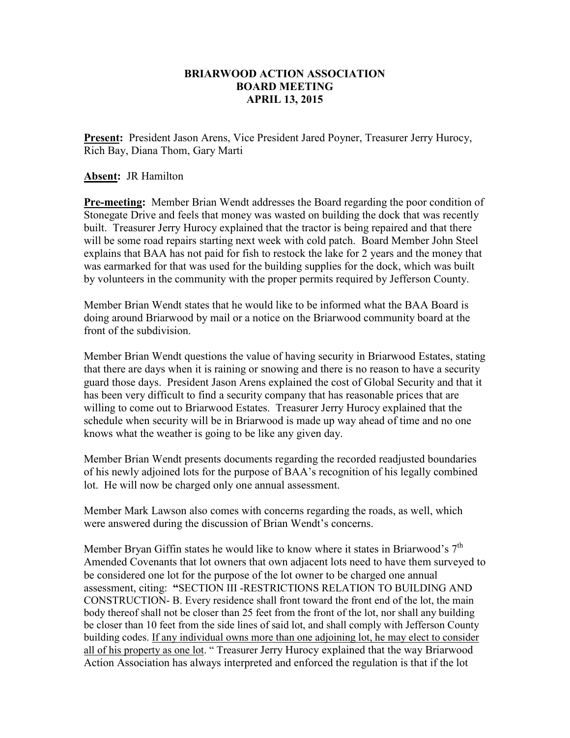## **BRIARWOOD ACTION ASSOCIATION BOARD MEETING APRIL 13, 2015**

**Present:** President Jason Arens, Vice President Jared Poyner, Treasurer Jerry Hurocy, Rich Bay, Diana Thom, Gary Marti

### **Absent:** JR Hamilton

**Pre-meeting:** Member Brian Wendt addresses the Board regarding the poor condition of Stonegate Drive and feels that money was wasted on building the dock that was recently built. Treasurer Jerry Hurocy explained that the tractor is being repaired and that there will be some road repairs starting next week with cold patch. Board Member John Steel explains that BAA has not paid for fish to restock the lake for 2 years and the money that was earmarked for that was used for the building supplies for the dock, which was built by volunteers in the community with the proper permits required by Jefferson County.

Member Brian Wendt states that he would like to be informed what the BAA Board is doing around Briarwood by mail or a notice on the Briarwood community board at the front of the subdivision.

Member Brian Wendt questions the value of having security in Briarwood Estates, stating that there are days when it is raining or snowing and there is no reason to have a security guard those days. President Jason Arens explained the cost of Global Security and that it has been very difficult to find a security company that has reasonable prices that are willing to come out to Briarwood Estates. Treasurer Jerry Hurocy explained that the schedule when security will be in Briarwood is made up way ahead of time and no one knows what the weather is going to be like any given day.

Member Brian Wendt presents documents regarding the recorded readjusted boundaries of his newly adjoined lots for the purpose of BAA's recognition of his legally combined lot. He will now be charged only one annual assessment.

Member Mark Lawson also comes with concerns regarding the roads, as well, which were answered during the discussion of Brian Wendt's concerns.

Member Bryan Giffin states he would like to know where it states in Briarwood's  $7<sup>th</sup>$ Amended Covenants that lot owners that own adjacent lots need to have them surveyed to be considered one lot for the purpose of the lot owner to be charged one annual assessment, citing: **"**SECTION III -RESTRICTIONS RELATION TO BUILDING AND CONSTRUCTION- B. Every residence shall front toward the front end of the lot, the main body thereof shall not be closer than 25 feet from the front of the lot, nor shall any building be closer than 10 feet from the side lines of said lot, and shall comply with Jefferson County building codes. If any individual owns more than one adjoining lot, he may elect to consider all of his property as one lot. " Treasurer Jerry Hurocy explained that the way Briarwood Action Association has always interpreted and enforced the regulation is that if the lot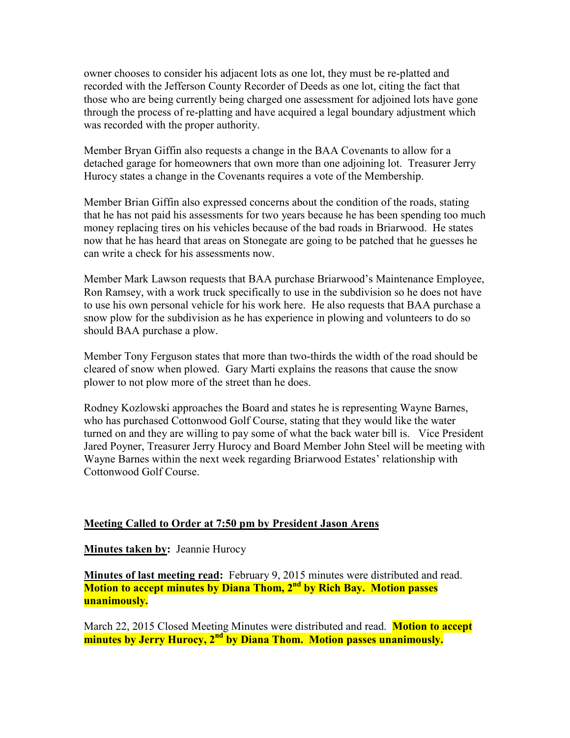owner chooses to consider his adjacent lots as one lot, they must be re-platted and recorded with the Jefferson County Recorder of Deeds as one lot, citing the fact that those who are being currently being charged one assessment for adjoined lots have gone through the process of re-platting and have acquired a legal boundary adjustment which was recorded with the proper authority.

Member Bryan Giffin also requests a change in the BAA Covenants to allow for a detached garage for homeowners that own more than one adjoining lot. Treasurer Jerry Hurocy states a change in the Covenants requires a vote of the Membership.

Member Brian Giffin also expressed concerns about the condition of the roads, stating that he has not paid his assessments for two years because he has been spending too much money replacing tires on his vehicles because of the bad roads in Briarwood. He states now that he has heard that areas on Stonegate are going to be patched that he guesses he can write a check for his assessments now.

Member Mark Lawson requests that BAA purchase Briarwood's Maintenance Employee, Ron Ramsey, with a work truck specifically to use in the subdivision so he does not have to use his own personal vehicle for his work here. He also requests that BAA purchase a snow plow for the subdivision as he has experience in plowing and volunteers to do so should BAA purchase a plow.

Member Tony Ferguson states that more than two-thirds the width of the road should be cleared of snow when plowed. Gary Marti explains the reasons that cause the snow plower to not plow more of the street than he does.

Rodney Kozlowski approaches the Board and states he is representing Wayne Barnes, who has purchased Cottonwood Golf Course, stating that they would like the water turned on and they are willing to pay some of what the back water bill is. Vice President Jared Poyner, Treasurer Jerry Hurocy and Board Member John Steel will be meeting with Wayne Barnes within the next week regarding Briarwood Estates' relationship with Cottonwood Golf Course.

### **Meeting Called to Order at 7:50 pm by President Jason Arens**

**Minutes taken by: Jeannie Hurocy** 

**Minutes of last meeting read:** February 9, 2015 minutes were distributed and read. **Motion to accept minutes by Diana Thom, 2nd by Rich Bay. Motion passes unanimously.** 

March 22, 2015 Closed Meeting Minutes were distributed and read. **Motion to accept minutes by Jerry Hurocy, 2nd by Diana Thom. Motion passes unanimously.**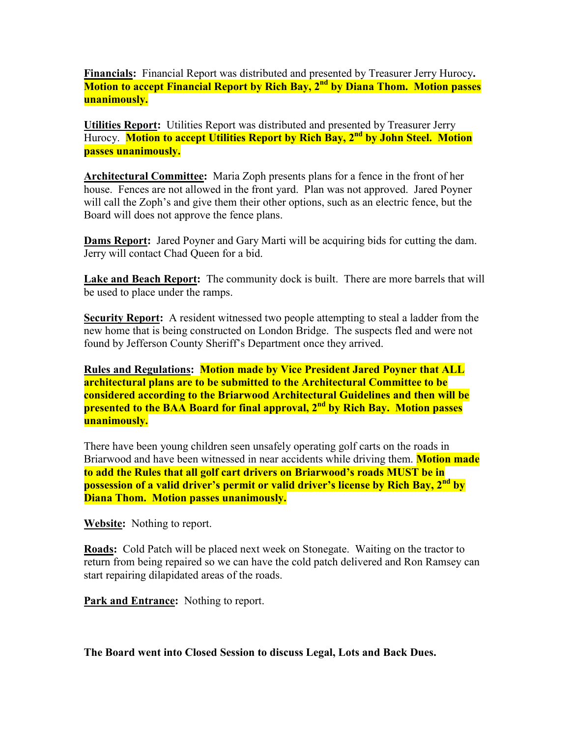**Financials:** Financial Report was distributed and presented by Treasurer Jerry Hurocy**. Motion to accept Financial Report by Rich Bay, 2nd by Diana Thom. Motion passes unanimously.** 

**Utilities Report:** Utilities Report was distributed and presented by Treasurer Jerry Hurocy. **Motion to accept Utilities Report by Rich Bay, 2nd by John Steel. Motion passes unanimously.** 

**Architectural Committee:** Maria Zoph presents plans for a fence in the front of her house. Fences are not allowed in the front yard. Plan was not approved. Jared Poyner will call the Zoph's and give them their other options, such as an electric fence, but the Board will does not approve the fence plans.

**Dams Report:** Jared Poyner and Gary Marti will be acquiring bids for cutting the dam. Jerry will contact Chad Queen for a bid.

Lake and Beach Report: The community dock is built. There are more barrels that will be used to place under the ramps.

**Security Report:** A resident witnessed two people attempting to steal a ladder from the new home that is being constructed on London Bridge. The suspects fled and were not found by Jefferson County Sheriff's Department once they arrived.

**Rules and Regulations: Motion made by Vice President Jared Poyner that ALL architectural plans are to be submitted to the Architectural Committee to be considered according to the Briarwood Architectural Guidelines and then will be presented to the BAA Board for final approval, 2nd by Rich Bay. Motion passes unanimously.** 

There have been young children seen unsafely operating golf carts on the roads in Briarwood and have been witnessed in near accidents while driving them. **Motion made to add the Rules that all golf cart drivers on Briarwood's roads MUST be in possession of a valid driver's permit or valid driver's license by Rich Bay, 2nd by Diana Thom. Motion passes unanimously.** 

**Website:** Nothing to report.

**Roads:** Cold Patch will be placed next week on Stonegate. Waiting on the tractor to return from being repaired so we can have the cold patch delivered and Ron Ramsey can start repairing dilapidated areas of the roads.

**Park and Entrance:** Nothing to report.

**The Board went into Closed Session to discuss Legal, Lots and Back Dues.**